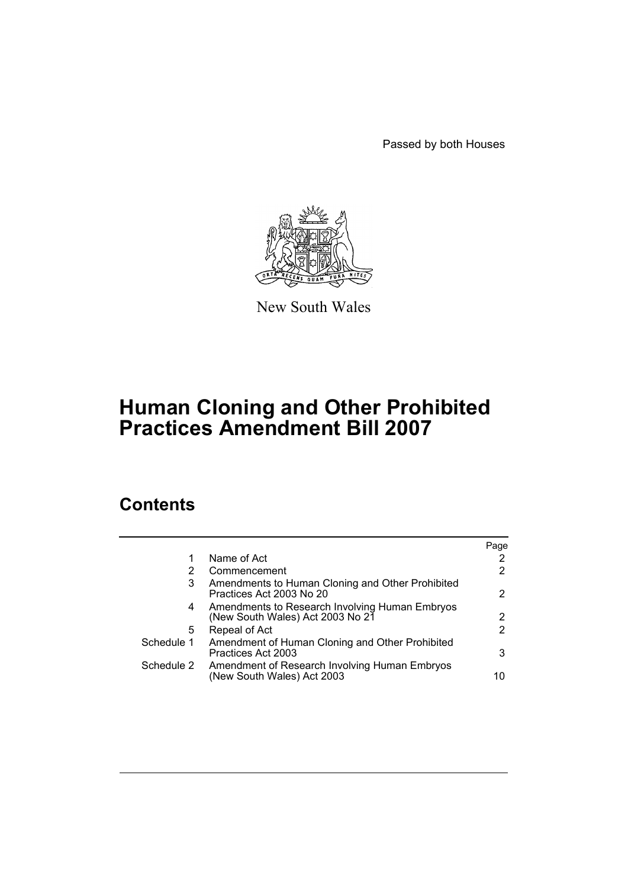Passed by both Houses



New South Wales

# **Human Cloning and Other Prohibited Practices Amendment Bill 2007**

# **Contents**

|            |                                                                                    | Page |
|------------|------------------------------------------------------------------------------------|------|
|            | Name of Act                                                                        | 2    |
| 2          | Commencement                                                                       | 2    |
| 3          | Amendments to Human Cloning and Other Prohibited<br>Practices Act 2003 No 20       | 2    |
| 4          | Amendments to Research Involving Human Embryos<br>(New South Wales) Act 2003 No 21 | 2    |
| 5          | Repeal of Act                                                                      | 2    |
| Schedule 1 | Amendment of Human Cloning and Other Prohibited<br>Practices Act 2003              | 3    |
| Schedule 2 | Amendment of Research Involving Human Embryos<br>(New South Wales) Act 2003        | 10   |
|            |                                                                                    |      |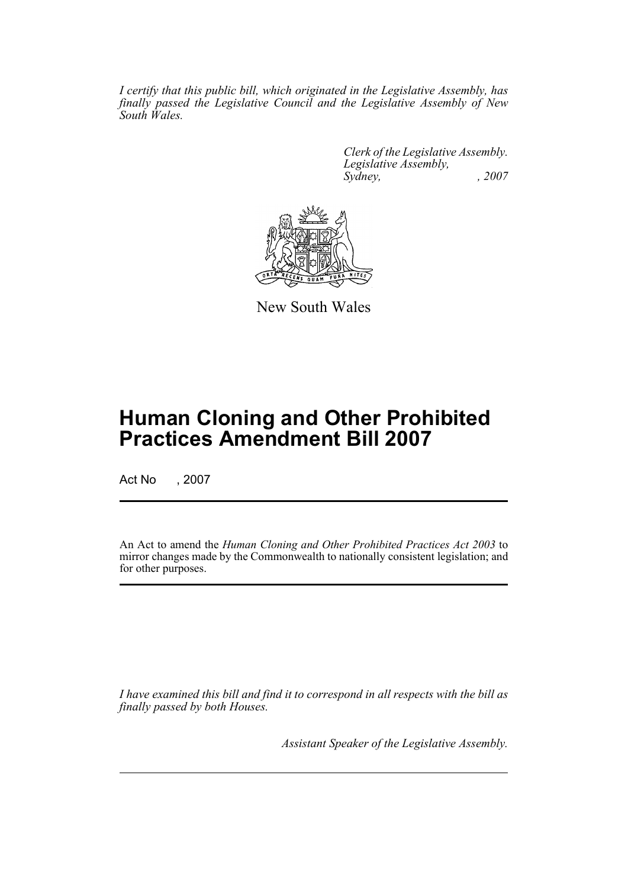*I certify that this public bill, which originated in the Legislative Assembly, has finally passed the Legislative Council and the Legislative Assembly of New South Wales.*

> *Clerk of the Legislative Assembly. Legislative Assembly, Sydney, , 2007*



New South Wales

# **Human Cloning and Other Prohibited Practices Amendment Bill 2007**

Act No , 2007

An Act to amend the *Human Cloning and Other Prohibited Practices Act 2003* to mirror changes made by the Commonwealth to nationally consistent legislation; and for other purposes.

*I have examined this bill and find it to correspond in all respects with the bill as finally passed by both Houses.*

*Assistant Speaker of the Legislative Assembly.*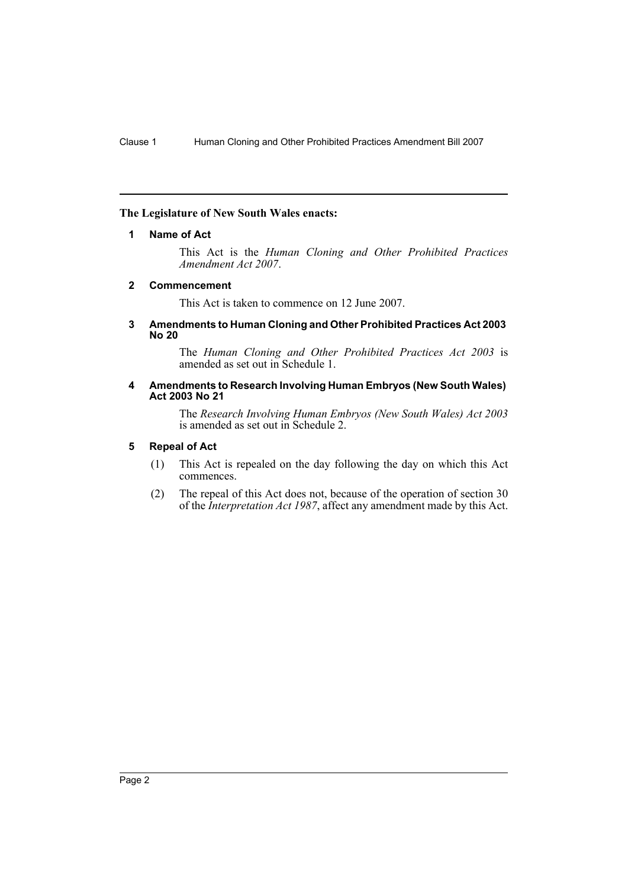### <span id="page-2-0"></span>**The Legislature of New South Wales enacts:**

### **1 Name of Act**

This Act is the *Human Cloning and Other Prohibited Practices Amendment Act 2007*.

#### <span id="page-2-1"></span>**2 Commencement**

This Act is taken to commence on 12 June 2007.

#### <span id="page-2-2"></span>**3 Amendments to Human Cloning and Other Prohibited Practices Act 2003 No 20**

The *Human Cloning and Other Prohibited Practices Act 2003* is amended as set out in Schedule 1.

#### <span id="page-2-3"></span>**4 Amendments to Research Involving Human Embryos (New South Wales) Act 2003 No 21**

The *Research Involving Human Embryos (New South Wales) Act 2003* is amended as set out in Schedule 2.

#### <span id="page-2-4"></span>**5 Repeal of Act**

- (1) This Act is repealed on the day following the day on which this Act commences.
- (2) The repeal of this Act does not, because of the operation of section 30 of the *Interpretation Act 1987*, affect any amendment made by this Act.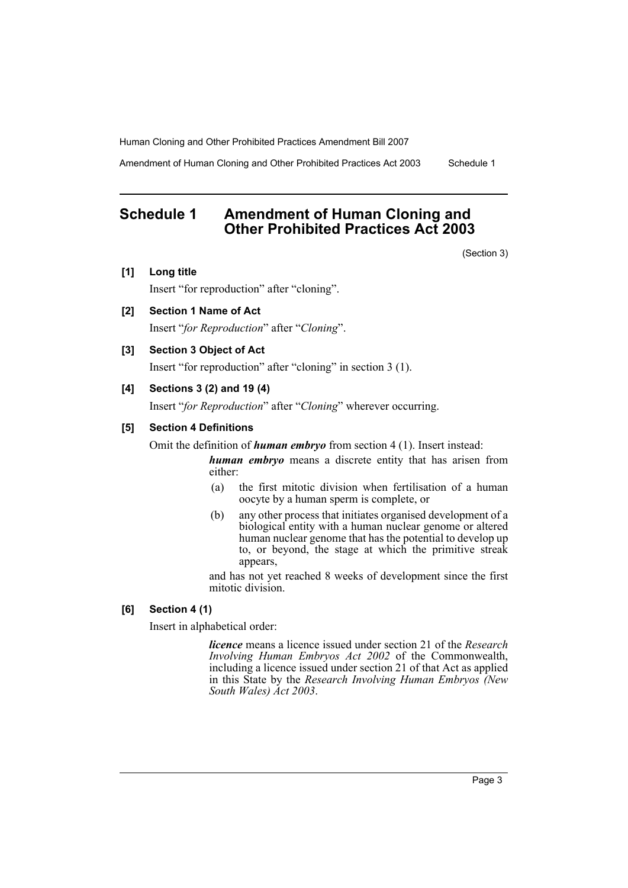Amendment of Human Cloning and Other Prohibited Practices Act 2003 Schedule 1

# <span id="page-3-0"></span>**Schedule 1 Amendment of Human Cloning and Other Prohibited Practices Act 2003**

(Section 3)

**[1] Long title**

Insert "for reproduction" after "cloning".

**[2] Section 1 Name of Act**

Insert "*for Reproduction*" after "*Cloning*".

## **[3] Section 3 Object of Act**

Insert "for reproduction" after "cloning" in section 3 (1).

# **[4] Sections 3 (2) and 19 (4)**

Insert "*for Reproduction*" after "*Cloning*" wherever occurring.

#### **[5] Section 4 Definitions**

Omit the definition of *human embryo* from section 4 (1). Insert instead:

*human embryo* means a discrete entity that has arisen from either:

- (a) the first mitotic division when fertilisation of a human oocyte by a human sperm is complete, or
- (b) any other process that initiates organised development of a biological entity with a human nuclear genome or altered human nuclear genome that has the potential to develop up to, or beyond, the stage at which the primitive streak appears,

and has not yet reached 8 weeks of development since the first mitotic division.

# **[6] Section 4 (1)**

Insert in alphabetical order:

*licence* means a licence issued under section 21 of the *Research Involving Human Embryos Act 2002* of the Commonwealth, including a licence issued under section 21 of that Act as applied in this State by the *Research Involving Human Embryos (New South Wales) Act 2003*.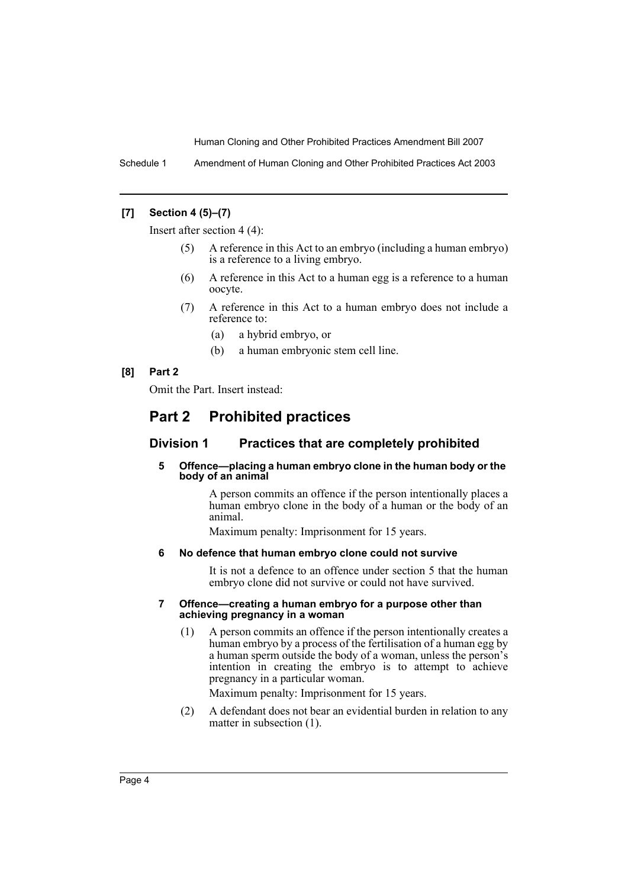Schedule 1 Amendment of Human Cloning and Other Prohibited Practices Act 2003

## **[7] Section 4 (5)–(7)**

Insert after section 4 (4):

- (5) A reference in this Act to an embryo (including a human embryo) is a reference to a living embryo.
- (6) A reference in this Act to a human egg is a reference to a human oocyte.
- (7) A reference in this Act to a human embryo does not include a reference to:
	- (a) a hybrid embryo, or
	- (b) a human embryonic stem cell line.

### **[8] Part 2**

Omit the Part. Insert instead:

# **Part 2 Prohibited practices**

# **Division 1 Practices that are completely prohibited**

#### **5 Offence—placing a human embryo clone in the human body or the body of an animal**

A person commits an offence if the person intentionally places a human embryo clone in the body of a human or the body of an animal.

Maximum penalty: Imprisonment for 15 years.

#### **6 No defence that human embryo clone could not survive**

It is not a defence to an offence under section 5 that the human embryo clone did not survive or could not have survived.

#### **7 Offence—creating a human embryo for a purpose other than achieving pregnancy in a woman**

(1) A person commits an offence if the person intentionally creates a human embryo by a process of the fertilisation of a human egg by a human sperm outside the body of a woman, unless the person's intention in creating the embryo is to attempt to achieve pregnancy in a particular woman.

Maximum penalty: Imprisonment for 15 years.

(2) A defendant does not bear an evidential burden in relation to any matter in subsection (1).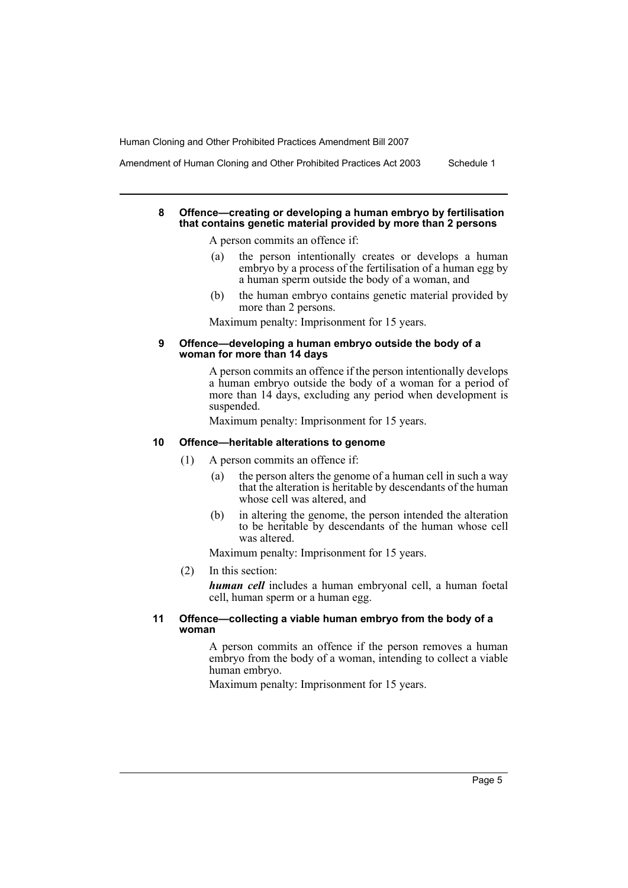Amendment of Human Cloning and Other Prohibited Practices Act 2003 Schedule 1

#### **8 Offence—creating or developing a human embryo by fertilisation that contains genetic material provided by more than 2 persons**

A person commits an offence if:

- (a) the person intentionally creates or develops a human embryo by a process of the fertilisation of a human egg by a human sperm outside the body of a woman, and
- (b) the human embryo contains genetic material provided by more than 2 persons.

Maximum penalty: Imprisonment for 15 years.

#### **9 Offence—developing a human embryo outside the body of a woman for more than 14 days**

A person commits an offence if the person intentionally develops a human embryo outside the body of a woman for a period of more than 14 days, excluding any period when development is suspended.

Maximum penalty: Imprisonment for 15 years.

#### **10 Offence—heritable alterations to genome**

- (1) A person commits an offence if:
	- (a) the person alters the genome of a human cell in such a way that the alteration is heritable by descendants of the human whose cell was altered, and
	- (b) in altering the genome, the person intended the alteration to be heritable by descendants of the human whose cell was altered.

Maximum penalty: Imprisonment for 15 years.

#### (2) In this section:

*human cell* includes a human embryonal cell, a human foetal cell, human sperm or a human egg.

#### **11 Offence—collecting a viable human embryo from the body of a woman**

A person commits an offence if the person removes a human embryo from the body of a woman, intending to collect a viable human embryo.

Maximum penalty: Imprisonment for 15 years.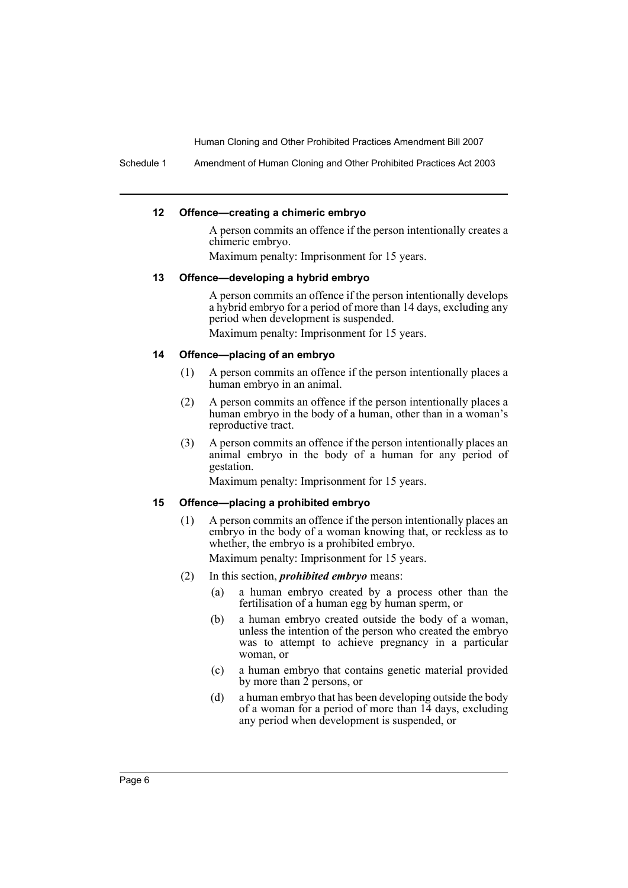Schedule 1 Amendment of Human Cloning and Other Prohibited Practices Act 2003

#### **12 Offence—creating a chimeric embryo**

A person commits an offence if the person intentionally creates a chimeric embryo.

Maximum penalty: Imprisonment for 15 years.

#### **13 Offence—developing a hybrid embryo**

A person commits an offence if the person intentionally develops a hybrid embryo for a period of more than 14 days, excluding any period when development is suspended.

Maximum penalty: Imprisonment for 15 years.

### **14 Offence—placing of an embryo**

- (1) A person commits an offence if the person intentionally places a human embryo in an animal.
- (2) A person commits an offence if the person intentionally places a human embryo in the body of a human, other than in a woman's reproductive tract.
- (3) A person commits an offence if the person intentionally places an animal embryo in the body of a human for any period of gestation.

Maximum penalty: Imprisonment for 15 years.

#### **15 Offence—placing a prohibited embryo**

(1) A person commits an offence if the person intentionally places an embryo in the body of a woman knowing that, or reckless as to whether, the embryo is a prohibited embryo.

Maximum penalty: Imprisonment for 15 years.

- (2) In this section, *prohibited embryo* means:
	- (a) a human embryo created by a process other than the fertilisation of a human egg by human sperm, or
	- (b) a human embryo created outside the body of a woman, unless the intention of the person who created the embryo was to attempt to achieve pregnancy in a particular woman, or
	- (c) a human embryo that contains genetic material provided by more than 2 persons, or
	- (d) a human embryo that has been developing outside the body of a woman for a period of more than  $14$  days, excluding any period when development is suspended, or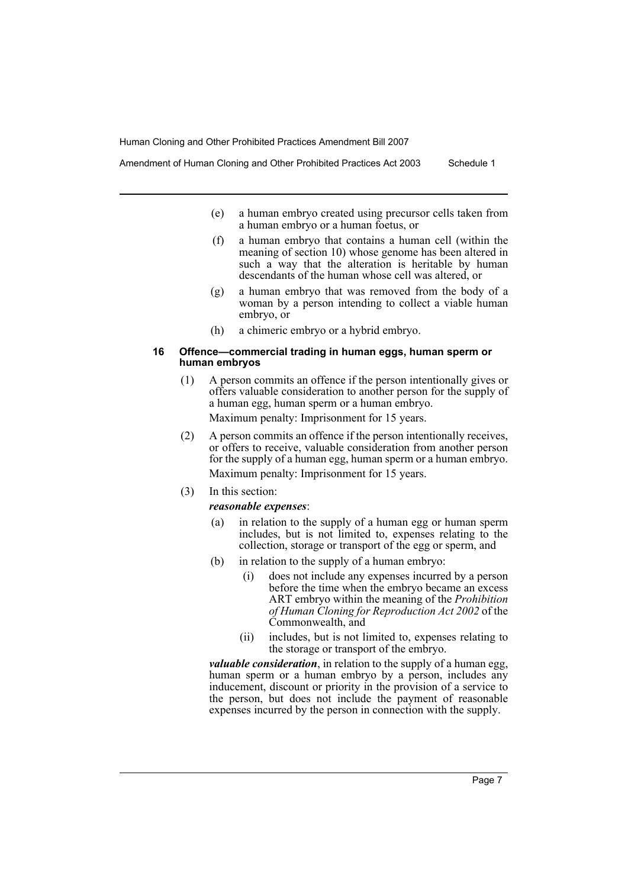Amendment of Human Cloning and Other Prohibited Practices Act 2003 Schedule 1

- (e) a human embryo created using precursor cells taken from a human embryo or a human foetus, or
- (f) a human embryo that contains a human cell (within the meaning of section 10) whose genome has been altered in such a way that the alteration is heritable by human descendants of the human whose cell was altered, or
- (g) a human embryo that was removed from the body of a woman by a person intending to collect a viable human embryo, or
- (h) a chimeric embryo or a hybrid embryo.

#### **16 Offence—commercial trading in human eggs, human sperm or human embryos**

- (1) A person commits an offence if the person intentionally gives or offers valuable consideration to another person for the supply of a human egg, human sperm or a human embryo. Maximum penalty: Imprisonment for 15 years.
- (2) A person commits an offence if the person intentionally receives, or offers to receive, valuable consideration from another person for the supply of a human egg, human sperm or a human embryo. Maximum penalty: Imprisonment for 15 years.
- (3) In this section:

# *reasonable expenses*:

- (a) in relation to the supply of a human egg or human sperm includes, but is not limited to, expenses relating to the collection, storage or transport of the egg or sperm, and
- (b) in relation to the supply of a human embryo:
	- (i) does not include any expenses incurred by a person before the time when the embryo became an excess ART embryo within the meaning of the *Prohibition of Human Cloning for Reproduction Act 2002* of the Commonwealth, and
	- (ii) includes, but is not limited to, expenses relating to the storage or transport of the embryo.

*valuable consideration*, in relation to the supply of a human egg, human sperm or a human embryo by a person, includes any inducement, discount or priority in the provision of a service to the person, but does not include the payment of reasonable expenses incurred by the person in connection with the supply.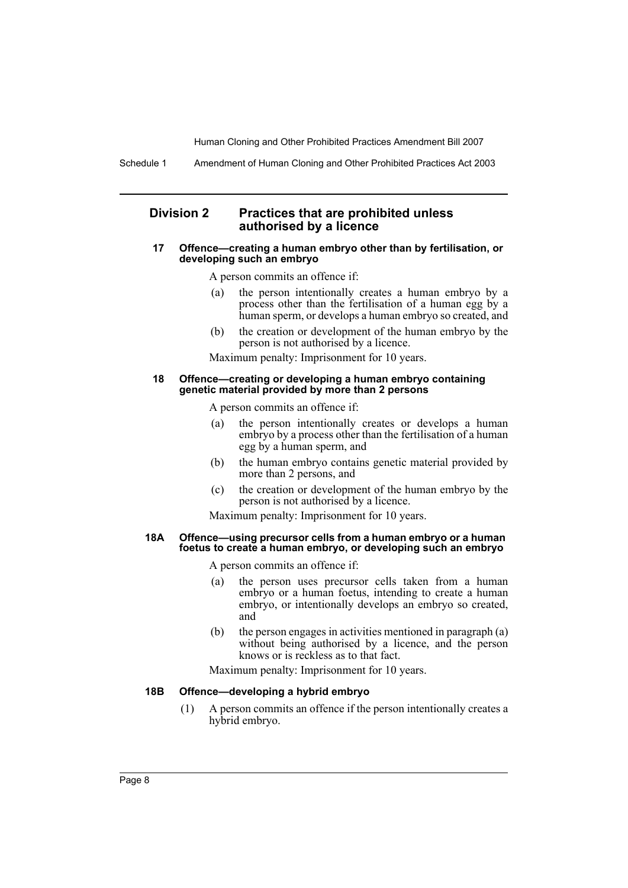Schedule 1 Amendment of Human Cloning and Other Prohibited Practices Act 2003

# **Division 2 Practices that are prohibited unless authorised by a licence**

#### **17 Offence—creating a human embryo other than by fertilisation, or developing such an embryo**

A person commits an offence if:

- (a) the person intentionally creates a human embryo by a process other than the fertilisation of a human egg by a human sperm, or develops a human embryo so created, and
- (b) the creation or development of the human embryo by the person is not authorised by a licence.

Maximum penalty: Imprisonment for 10 years.

#### **18 Offence—creating or developing a human embryo containing genetic material provided by more than 2 persons**

A person commits an offence if:

- (a) the person intentionally creates or develops a human embryo by a process other than the fertilisation of a human egg by a human sperm, and
- (b) the human embryo contains genetic material provided by more than 2 persons, and
- (c) the creation or development of the human embryo by the person is not authorised by a licence.

Maximum penalty: Imprisonment for 10 years.

#### **18A Offence—using precursor cells from a human embryo or a human foetus to create a human embryo, or developing such an embryo**

A person commits an offence if:

- (a) the person uses precursor cells taken from a human embryo or a human foetus, intending to create a human embryo, or intentionally develops an embryo so created, and
- (b) the person engages in activities mentioned in paragraph (a) without being authorised by a licence, and the person knows or is reckless as to that fact.

Maximum penalty: Imprisonment for 10 years.

#### **18B Offence—developing a hybrid embryo**

(1) A person commits an offence if the person intentionally creates a hybrid embryo.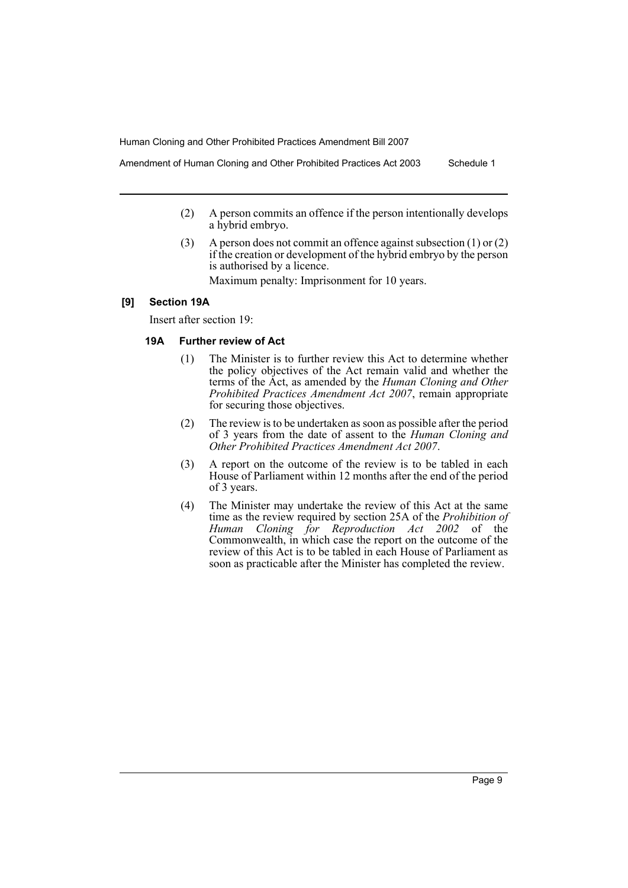Amendment of Human Cloning and Other Prohibited Practices Act 2003 Schedule 1

- (2) A person commits an offence if the person intentionally develops a hybrid embryo.
- (3) A person does not commit an offence against subsection (1) or (2) if the creation or development of the hybrid embryo by the person is authorised by a licence.

Maximum penalty: Imprisonment for 10 years.

# **[9] Section 19A**

Insert after section 19:

# **19A Further review of Act**

- (1) The Minister is to further review this Act to determine whether the policy objectives of the Act remain valid and whether the terms of the Act, as amended by the *Human Cloning and Other Prohibited Practices Amendment Act 2007*, remain appropriate for securing those objectives.
- (2) The review is to be undertaken as soon as possible after the period of 3 years from the date of assent to the *Human Cloning and Other Prohibited Practices Amendment Act 2007*.
- (3) A report on the outcome of the review is to be tabled in each House of Parliament within 12 months after the end of the period of 3 years.
- (4) The Minister may undertake the review of this Act at the same time as the review required by section 25A of the *Prohibition of Human Cloning for Reproduction Act 2002* of the Commonwealth, in which case the report on the outcome of the review of this Act is to be tabled in each House of Parliament as soon as practicable after the Minister has completed the review.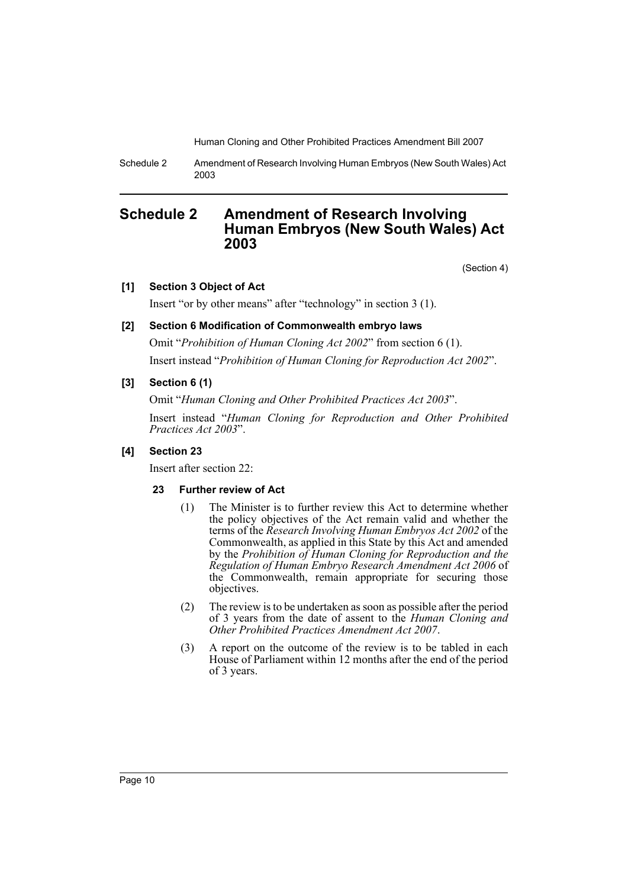Schedule 2 Amendment of Research Involving Human Embryos (New South Wales) Act 2003

# <span id="page-10-0"></span>**Schedule 2 Amendment of Research Involving Human Embryos (New South Wales) Act 2003**

(Section 4)

# **[1] Section 3 Object of Act**

Insert "or by other means" after "technology" in section 3 (1).

# **[2] Section 6 Modification of Commonwealth embryo laws**

Omit "*Prohibition of Human Cloning Act 2002*" from section 6 (1). Insert instead "*Prohibition of Human Cloning for Reproduction Act 2002*".

# **[3] Section 6 (1)**

Omit "*Human Cloning and Other Prohibited Practices Act 2003*".

Insert instead "*Human Cloning for Reproduction and Other Prohibited Practices Act 2003*".

# **[4] Section 23**

Insert after section 22:

# **23 Further review of Act**

- (1) The Minister is to further review this Act to determine whether the policy objectives of the Act remain valid and whether the terms of the *Research Involving Human Embryos Act 2002* of the Commonwealth, as applied in this State by this Act and amended by the *Prohibition of Human Cloning for Reproduction and the Regulation of Human Embryo Research Amendment Act 2006* of the Commonwealth, remain appropriate for securing those objectives.
- (2) The review is to be undertaken as soon as possible after the period of 3 years from the date of assent to the *Human Cloning and Other Prohibited Practices Amendment Act 2007*.
- (3) A report on the outcome of the review is to be tabled in each House of Parliament within 12 months after the end of the period of 3 years.